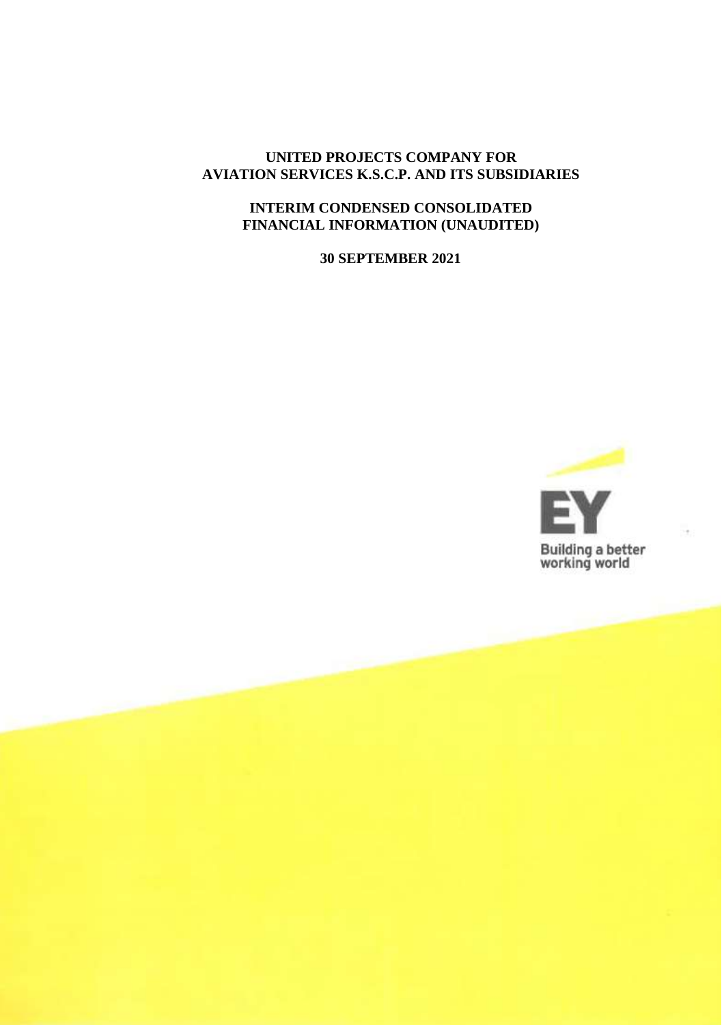### **UNITED PROJECTS COMPANY FOR AVIATION SERVICES K.S.C.P. AND ITS SUBSIDIARIES**

### **INTERIM CONDENSED CONSOLIDATED FINANCIAL INFORMATION (UNAUDITED)**

**30 SEPTEMBER 2021**

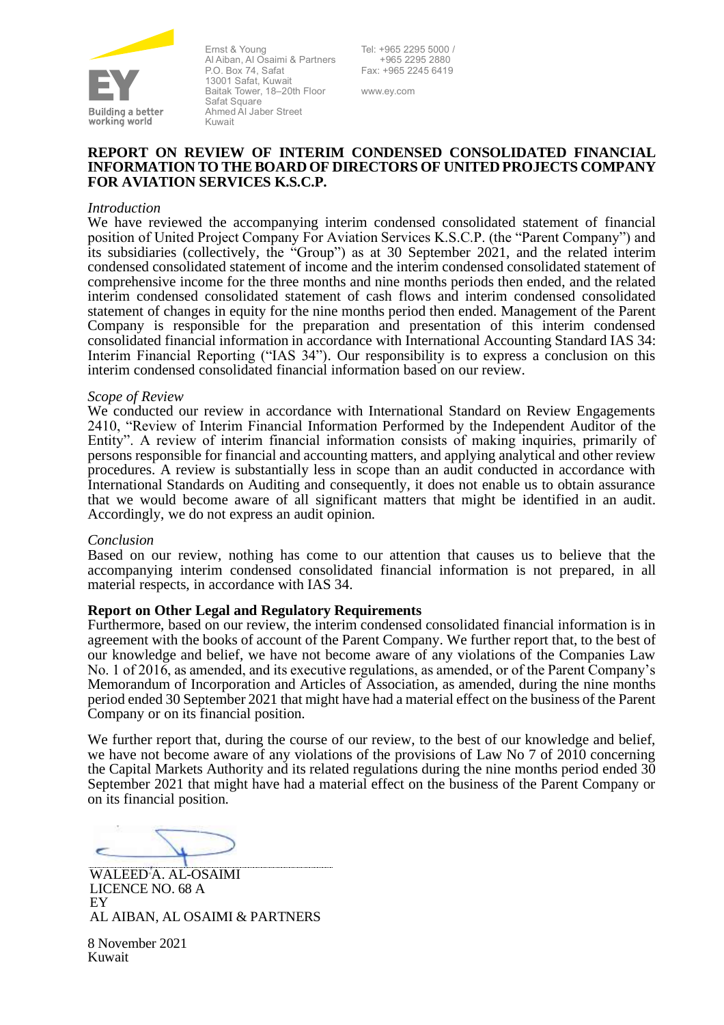

Ernst & Young Al Aiban, Al Osaimi & Partners P.O. Box 74, Safat 13001 Safat, Kuwait Baitak Tower, 18–20th Floor Safat Square Ahmed Al Jaber Street Kuwait

Tel: +965 2295 5000 / +965 2295 2880 Fax: +965 2245 6419

www.ey.com

#### **REPORT ON REVIEW OF INTERIM CONDENSED CONSOLIDATED FINANCIAL INFORMATION TO THE BOARD OF DIRECTORS OF UNITED PROJECTS COMPANY FOR AVIATION SERVICES K.S.C.P.**

#### *Introduction*

We have reviewed the accompanying interim condensed consolidated statement of financial position of United Project Company For Aviation Services K.S.C.P. (the "Parent Company") and its subsidiaries (collectively, the "Group") as at 30 September 2021, and the related interim condensed consolidated statement of income and the interim condensed consolidated statement of comprehensive income for the three months and nine months periods then ended, and the related interim condensed consolidated statement of cash flows and interim condensed consolidated statement of changes in equity for the nine months period then ended. Management of the Parent Company is responsible for the preparation and presentation of this interim condensed consolidated financial information in accordance with International Accounting Standard IAS 34: Interim Financial Reporting ("IAS 34"). Our responsibility is to express a conclusion on this interim condensed consolidated financial information based on our review.

#### *Scope of Review*

We conducted our review in accordance with International Standard on Review Engagements 2410, "Review of Interim Financial Information Performed by the Independent Auditor of the Entity". A review of interim financial information consists of making inquiries, primarily of persons responsible for financial and accounting matters, and applying analytical and other review procedures. A review is substantially less in scope than an audit conducted in accordance with International Standards on Auditing and consequently, it does not enable us to obtain assurance that we would become aware of all significant matters that might be identified in an audit. Accordingly, we do not express an audit opinion.

#### *Conclusion*

Based on our review, nothing has come to our attention that causes us to believe that the accompanying interim condensed consolidated financial information is not prepared, in all material respects, in accordance with IAS 34.

#### **Report on Other Legal and Regulatory Requirements**

Furthermore, based on our review, the interim condensed consolidated financial information is in agreement with the books of account of the Parent Company. We further report that, to the best of our knowledge and belief, we have not become aware of any violations of the Companies Law No. 1 of 2016, as amended, and its executive regulations, as amended, or of the Parent Company's Memorandum of Incorporation and Articles of Association, as amended, during the nine months period ended 30 September 2021 that might have had a material effect on the business of the Parent Company or on its financial position.

We further report that, during the course of our review, to the best of our knowledge and belief, we have not become aware of any violations of the provisions of Law No 7 of 2010 concerning the Capital Markets Authority and its related regulations during the nine months period ended 30 September 2021 that might have had a material effect on the business of the Parent Company or on its financial position.

WALEED A. AL-OSAIMI LICENCE NO. 68 A **EY** AL AIBAN, AL OSAIMI & PARTNERS

8 November 2021 Kuwait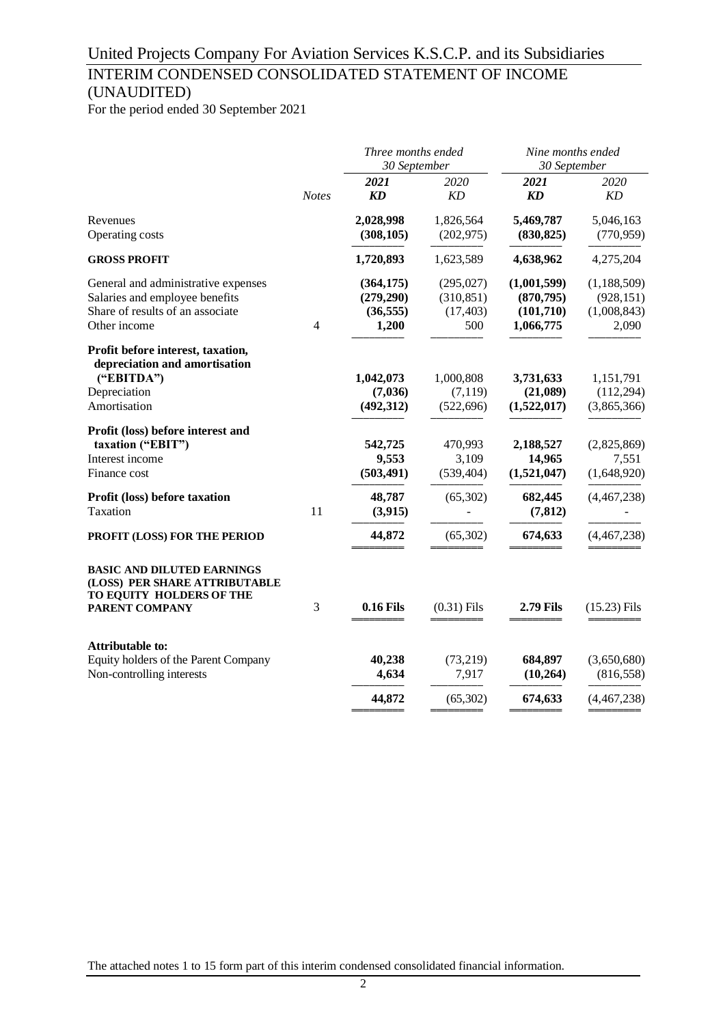## INTERIM CONDENSED CONSOLIDATED STATEMENT OF INCOME (UNAUDITED)

For the period ended 30 September 2021

|                                                                                                                           |                | Three months ended<br>30 September            |                                              | Nine months ended<br>30 September                   |                                                     |  |
|---------------------------------------------------------------------------------------------------------------------------|----------------|-----------------------------------------------|----------------------------------------------|-----------------------------------------------------|-----------------------------------------------------|--|
|                                                                                                                           | <b>Notes</b>   | 2021<br>KD                                    | 2020<br>KD                                   | 2021<br><b>KD</b>                                   | 2020<br>KD                                          |  |
| Revenues<br>Operating costs                                                                                               |                | 2,028,998<br>(308, 105)                       | 1,826,564<br>(202, 975)                      | 5,469,787<br>(830, 825)                             | 5,046,163<br>(770, 959)                             |  |
| <b>GROSS PROFIT</b>                                                                                                       |                | 1,720,893                                     | 1,623,589                                    | 4,638,962                                           | 4,275,204                                           |  |
| General and administrative expenses<br>Salaries and employee benefits<br>Share of results of an associate<br>Other income | $\overline{4}$ | (364, 175)<br>(279,290)<br>(36, 555)<br>1,200 | (295, 027)<br>(310, 851)<br>(17, 403)<br>500 | (1,001,599)<br>(870, 795)<br>(101,710)<br>1,066,775 | (1, 188, 509)<br>(928, 151)<br>(1,008,843)<br>2,090 |  |
| Profit before interest, taxation,<br>depreciation and amortisation<br>("EBITDA")<br>Depreciation<br>Amortisation          |                | 1,042,073<br>(7,036)<br>(492,312)             | 1,000,808<br>(7, 119)<br>(522, 696)          | 3,731,633<br>(21,089)<br>(1,522,017)                | 1,151,791<br>(112, 294)<br>(3,865,366)              |  |
| Profit (loss) before interest and<br>taxation ("EBIT")<br>Interest income<br>Finance cost                                 |                | 542,725<br>9,553<br>(503, 491)                | 470,993<br>3,109<br>(539, 404)               | 2,188,527<br>14,965<br>(1,521,047)                  | (2,825,869)<br>7,551<br>(1,648,920)                 |  |
| Profit (loss) before taxation<br>Taxation                                                                                 | 11             | 48,787<br>(3,915)                             | (65,302)                                     | 682,445<br>(7, 812)                                 | (4,467,238)                                         |  |
| PROFIT (LOSS) FOR THE PERIOD                                                                                              |                | 44,872                                        | (65, 302)                                    | 674,633                                             | (4, 467, 238)                                       |  |
| <b>BASIC AND DILUTED EARNINGS</b><br>(LOSS) PER SHARE ATTRIBUTABLE<br>TO EQUITY HOLDERS OF THE<br><b>PARENT COMPANY</b>   | 3              | <b>0.16 Fils</b>                              | $(0.31)$ Fils                                | <b>2.79 Fils</b>                                    | $(15.23)$ Fils                                      |  |
| <b>Attributable to:</b>                                                                                                   |                |                                               |                                              |                                                     |                                                     |  |
| Equity holders of the Parent Company<br>Non-controlling interests                                                         |                | 40,238<br>4,634                               | (73,219)<br>7,917                            | 684,897<br>(10, 264)                                | (3,650,680)<br>(816, 558)                           |  |
|                                                                                                                           |                | 44,872                                        | (65, 302)                                    | 674,633                                             | (4,467,238)                                         |  |

The attached notes 1 to 15 form part of this interim condensed consolidated financial information.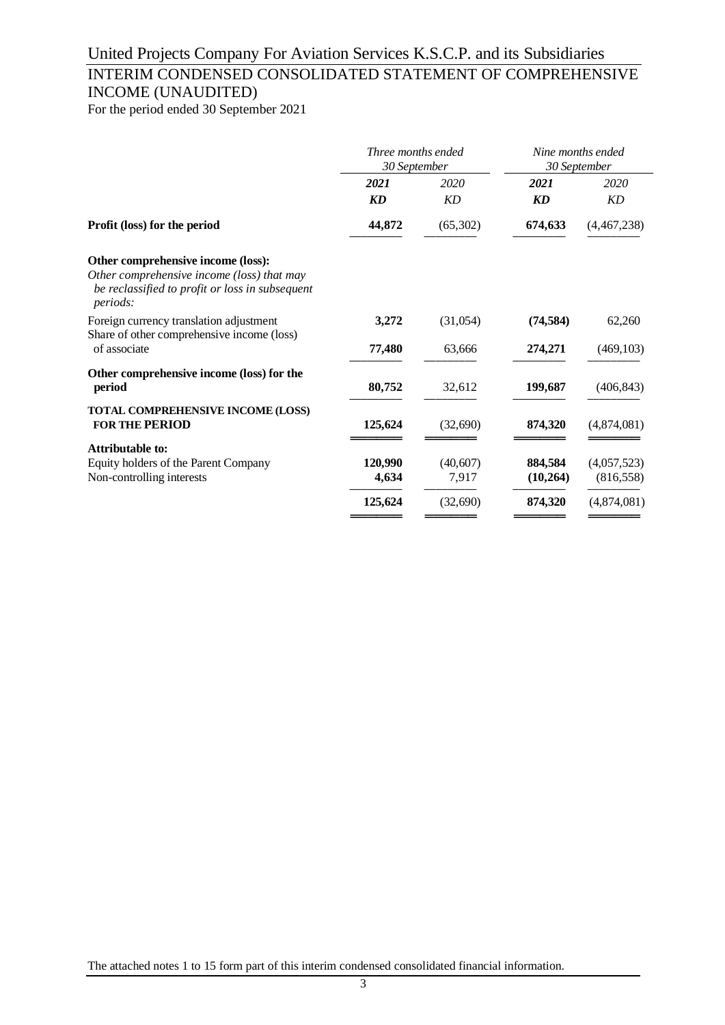## INTERIM CONDENSED CONSOLIDATED STATEMENT OF COMPREHENSIVE INCOME (UNAUDITED)

For the period ended 30 September 2021

|                                                                                                                                                        | Three months ended<br>30 September |                    | Nine months ended<br>30 September |                      |
|--------------------------------------------------------------------------------------------------------------------------------------------------------|------------------------------------|--------------------|-----------------------------------|----------------------|
|                                                                                                                                                        | 2021                               | 2020               | 2021                              | 2020                 |
|                                                                                                                                                        | <b>KD</b>                          | <b>KD</b>          | <b>KD</b>                         | <b>KD</b>            |
| Profit (loss) for the period                                                                                                                           | 44,872                             | (65, 302)          | 674,633                           | (4,467,238)          |
| Other comprehensive income (loss):<br>Other comprehensive income (loss) that may<br>be reclassified to profit or loss in subsequent<br><i>periods:</i> |                                    |                    |                                   |                      |
| Foreign currency translation adjustment<br>Share of other comprehensive income (loss)<br>of associate                                                  | 3,272<br>77,480                    | (31,054)<br>63,666 | (74, 584)<br>274,271              | 62,260<br>(469, 103) |
| Other comprehensive income (loss) for the<br>period                                                                                                    | 80,752                             | 32,612             | 199,687                           | (406, 843)           |
| <b>TOTAL COMPREHENSIVE INCOME (LOSS)</b><br><b>FOR THE PERIOD</b>                                                                                      | 125,624                            | (32,690)           | 874,320                           | (4,874,081)          |
| Attributable to:                                                                                                                                       |                                    |                    |                                   |                      |
| Equity holders of the Parent Company                                                                                                                   | 120,990                            | (40, 607)          | 884,584                           | (4,057,523)          |
| Non-controlling interests                                                                                                                              | 4,634                              | 7,917              | (10,264)                          | (816, 558)           |
|                                                                                                                                                        | 125,624                            | (32, 690)          | 874,320                           | (4,874,081)          |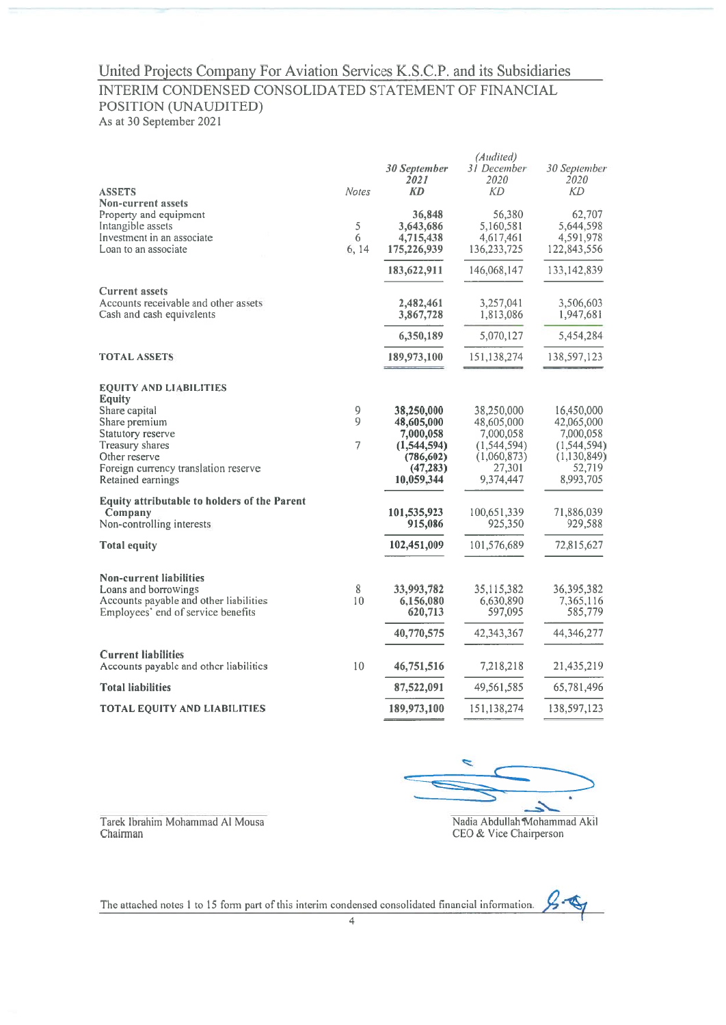### INTERIM CONDENSED CONSOLIDATED STATEMENT OF FINANCIAL POSITION (UNAUDITED)

As at 30 September 2021

| <b>ASSETS</b>                                                                                                                                                                                          | <b>Notes</b>             | 30 September<br>2021<br><b>KD</b>                                                             | (Audited)<br>31 December<br>2020<br><b>KD</b>                                                | 30 September<br>2020<br><b>KD</b>                                                              |
|--------------------------------------------------------------------------------------------------------------------------------------------------------------------------------------------------------|--------------------------|-----------------------------------------------------------------------------------------------|----------------------------------------------------------------------------------------------|------------------------------------------------------------------------------------------------|
| Non-current assets<br>Property and equipment<br>Intangible assets<br>Investment in an associate<br>Loan to an associate                                                                                | 5<br>6<br>6, 14          | 36,848<br>3,643,686<br>4,715,438<br>175,226,939                                               | 56,380<br>5,160,581<br>4,617,461<br>136,233,725                                              | 62,707<br>5,644,598<br>4,591,978<br>122,843,556                                                |
|                                                                                                                                                                                                        |                          | 183,622,911                                                                                   | 146,068,147                                                                                  | 133, 142, 839                                                                                  |
| <b>Current assets</b><br>Accounts receivable and other assets<br>Cash and cash equivalents                                                                                                             |                          | 2,482,461<br>3,867,728                                                                        | 3,257,041<br>1,813,086                                                                       | 3,506,603<br>1,947,681                                                                         |
|                                                                                                                                                                                                        |                          | 6,350,189                                                                                     | 5,070,127                                                                                    | 5,454,284                                                                                      |
| <b>TOTAL ASSETS</b>                                                                                                                                                                                    |                          | 189,973,100                                                                                   | 151,138,274                                                                                  | 138,597,123                                                                                    |
| <b>EQUITY AND LIABILITIES</b><br><b>Equity</b><br>Share capital<br>Share premium<br>Statutory reserve<br>Treasury shares<br>Other reserve<br>Foreign currency translation reserve<br>Retained earnings | 9<br>9<br>$\overline{7}$ | 38,250,000<br>48,605,000<br>7,000,058<br>(1,544,594)<br>(786, 602)<br>(47, 283)<br>10,059,344 | 38,250,000<br>48,605,000<br>7,000,058<br>(1, 544, 594)<br>(1,060,873)<br>27,301<br>9,374,447 | 16,450,000<br>42,065,000<br>7,000,058<br>(1, 544, 594)<br>(1, 130, 849)<br>52,719<br>8,993,705 |
| <b>Equity attributable to holders of the Parent</b><br>Company<br>Non-controlling interests                                                                                                            |                          | 101,535,923<br>915,086                                                                        | 100,651,339<br>925,350                                                                       | 71,886,039<br>929,588                                                                          |
| Total equity                                                                                                                                                                                           |                          | 102,451,009                                                                                   | 101,576,689                                                                                  | 72,815,627                                                                                     |
| <b>Non-current liabilities</b><br>Loans and borrowings<br>Accounts payable and other liabilities<br>Employees' end of service benefits                                                                 | 8<br>10                  | 33,993,782<br>6,156,080<br>620,713                                                            | 35,115,382<br>6,630,890<br>597,095                                                           | 36, 395, 382<br>7,365,116<br>585,779                                                           |
|                                                                                                                                                                                                        |                          | 40,770,575                                                                                    | 42,343,367                                                                                   | 44,346,277                                                                                     |
| <b>Current liabilities</b><br>Accounts payable and other liabilities                                                                                                                                   | 10                       | 46,751,516                                                                                    | 7,218,218                                                                                    | 21,435,219                                                                                     |
| <b>Total liabilities</b>                                                                                                                                                                               |                          | 87,522,091                                                                                    | 49,561,585                                                                                   | 65,781,496                                                                                     |
| <b>TOTAL EQUITY AND LIABILITIES</b>                                                                                                                                                                    |                          | 189,973,100                                                                                   | 151,138,274                                                                                  | 138,597,123                                                                                    |

Tarek Ibrahim Mohammad Al Mousa Chairman

Nadia Abdullah Mohammad Akil CEO & Vice Chairperson

 $2 - \mathbb{Q}$ The attached notes 1 to 15 form part of this interim condensed consolidated financial information.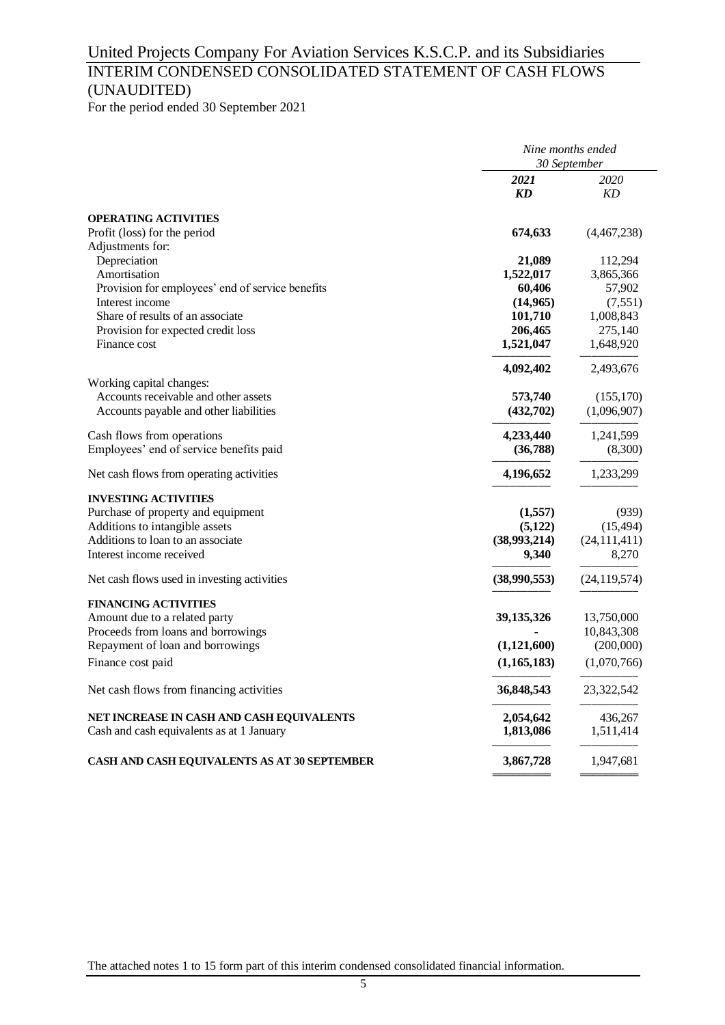## INTERIM CONDENSED CONSOLIDATED STATEMENT OF CASH FLOWS (UNAUDITED)

For the period ended 30 September 2021

|                                                                                        |                        | Nine months ended |
|----------------------------------------------------------------------------------------|------------------------|-------------------|
|                                                                                        |                        | 30 September      |
|                                                                                        | 2021<br>KD             | 2020<br>KD        |
|                                                                                        |                        |                   |
| <b>OPERATING ACTIVITIES</b>                                                            |                        |                   |
| Profit (loss) for the period                                                           | 674,633                | (4,467,238)       |
| Adjustments for:                                                                       |                        |                   |
| Depreciation                                                                           | 21,089                 | 112,294           |
| Amortisation                                                                           | 1,522,017              | 3,865,366         |
| Provision for employees' end of service benefits                                       | 60,406                 | 57,902            |
| Interest income                                                                        | (14, 965)              | (7, 551)          |
| Share of results of an associate                                                       | 101,710                | 1,008,843         |
| Provision for expected credit loss                                                     | 206,465                | 275,140           |
| Finance cost                                                                           | 1,521,047              | 1,648,920         |
|                                                                                        | 4,092,402              | 2,493,676         |
| Working capital changes:                                                               |                        |                   |
| Accounts receivable and other assets                                                   | 573,740                | (155, 170)        |
| Accounts payable and other liabilities                                                 | (432,702)              | (1,096,907)       |
| Cash flows from operations                                                             | 4,233,440              | 1,241,599         |
| Employees' end of service benefits paid                                                | (36,788)               | (8,300)           |
| Net cash flows from operating activities                                               | 4,196,652              | 1,233,299         |
| <b>INVESTING ACTIVITIES</b>                                                            |                        |                   |
| Purchase of property and equipment                                                     | (1,557)                | (939)             |
| Additions to intangible assets                                                         | (5,122)                | (15, 494)         |
| Additions to loan to an associate                                                      | (38,993,214)           | (24, 111, 411)    |
| Interest income received                                                               | 9,340                  | 8,270             |
|                                                                                        |                        |                   |
| Net cash flows used in investing activities                                            | (38,990,553)           | (24, 119, 574)    |
| <b>FINANCING ACTIVITIES</b>                                                            |                        |                   |
| Amount due to a related party                                                          | 39, 135, 326           | 13,750,000        |
| Proceeds from loans and borrowings                                                     |                        | 10,843,308        |
| Repayment of loan and borrowings                                                       | (1,121,600)            | (200,000)         |
| Finance cost paid                                                                      | (1, 165, 183)          | (1,070,766)       |
| Net cash flows from financing activities                                               | 36,848,543             | 23,322,542        |
|                                                                                        |                        | 436,267           |
| NET INCREASE IN CASH AND CASH EQUIVALENTS<br>Cash and cash equivalents as at 1 January | 2,054,642<br>1,813,086 | 1,511,414         |
|                                                                                        |                        |                   |
| <b>CASH AND CASH EQUIVALENTS AS AT 30 SEPTEMBER</b>                                    | 3,867,728              | 1,947,681         |
|                                                                                        |                        |                   |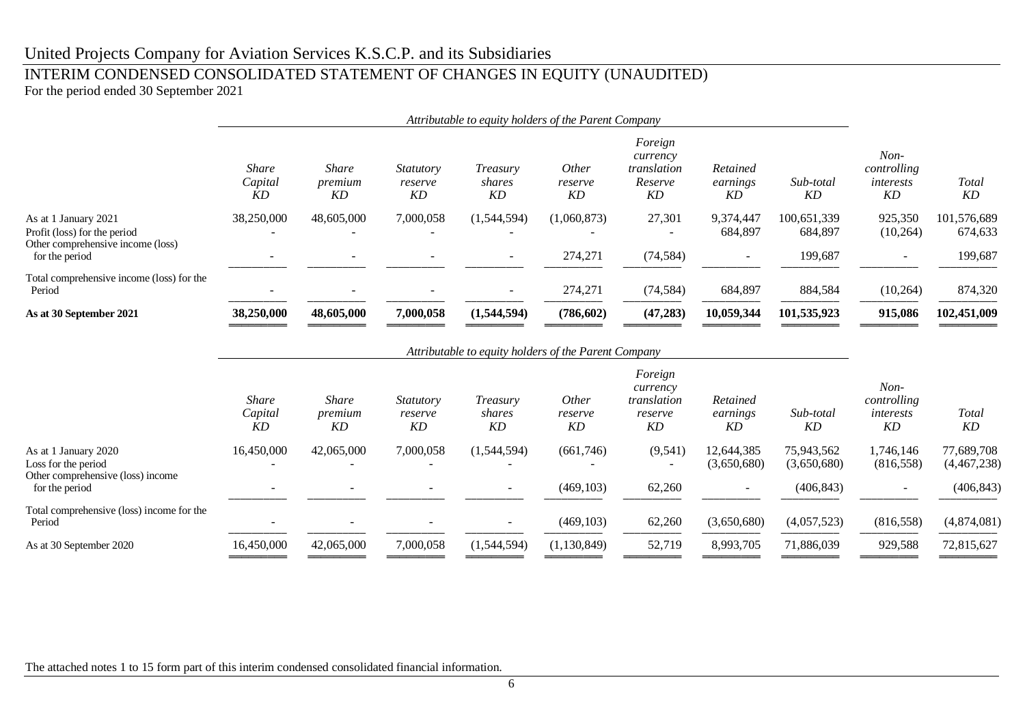### INTERIM CONDENSED CONSOLIDATED STATEMENT OF CHANGES IN EQUITY (UNAUDITED)

For the period ended 30 September 2021

|                                                                                           | Attributable to equity holders of the Parent Company |                               |                                   |                                                      |                               |                                                     |                            |                           |                                          |                           |
|-------------------------------------------------------------------------------------------|------------------------------------------------------|-------------------------------|-----------------------------------|------------------------------------------------------|-------------------------------|-----------------------------------------------------|----------------------------|---------------------------|------------------------------------------|---------------------------|
|                                                                                           | <b>Share</b><br>Capital<br><b>KD</b>                 | <b>Share</b><br>premium<br>KD | <i>Statutory</i><br>reserve<br>KD | Treasury<br>shares<br>KD                             | <i>Other</i><br>reserve<br>KD | Foreign<br>currency<br>translation<br>Reserve<br>KD | Retained<br>earnings<br>KD | Sub-total<br>KD           | $Non-$<br>controlling<br>interests<br>KD | <b>Total</b><br>KD        |
| As at 1 January 2021<br>Profit (loss) for the period<br>Other comprehensive income (loss) | 38,250,000                                           | 48,605,000                    | 7,000,058                         | (1,544,594)                                          | (1,060,873)                   | 27,301                                              | 9,374,447<br>684,897       | 100,651,339<br>684,897    | 925,350<br>(10, 264)                     | 101,576,689<br>674,633    |
| for the period                                                                            |                                                      |                               |                                   |                                                      | 274,271                       | (74, 584)                                           |                            | 199,687                   |                                          | 199,687                   |
| Total comprehensive income (loss) for the<br>Period                                       |                                                      |                               |                                   |                                                      | 274,271                       | (74, 584)                                           | 684,897                    | 884,584                   | (10, 264)                                | 874,320                   |
| As at 30 September 2021                                                                   | 38,250,000                                           | 48,605,000                    | 7,000,058                         | (1,544,594)                                          | (786, 602)                    | (47, 283)                                           | 10,059,344                 | 101,535,923               | 915,086                                  | 102,451,009               |
|                                                                                           |                                                      |                               |                                   | Attributable to equity holders of the Parent Company |                               | Foreign<br>currency                                 |                            |                           | $Non-$                                   |                           |
|                                                                                           | Share<br>Capital<br>KD                               | <b>Share</b><br>premium<br>KD | <i>Statutory</i><br>reserve<br>KD | Treasury<br>shares<br>KD                             | <i>Other</i><br>reserve<br>KD | translation<br>reserve<br>KD                        | Retained<br>earnings<br>KD | Sub-total<br>KD           | controlling<br>interests<br>KD           | <b>Total</b><br>KD        |
| As at 1 January 2020<br>Loss for the period<br>Other comprehensive (loss) income          | 16,450,000                                           | 42,065,000                    | 7,000,058                         | (1,544,594)                                          | (661,746)                     | (9, 541)                                            | 12,644,385<br>(3,650,680)  | 75,943,562<br>(3,650,680) | 1,746,146<br>(816, 558)                  | 77,689,708<br>(4,467,238) |
| for the period                                                                            |                                                      |                               |                                   | $\overline{\phantom{a}}$                             | (469, 103)                    | 62,260                                              |                            | (406, 843)                |                                          | (406, 843)                |
| Total comprehensive (loss) income for the<br>Period                                       |                                                      |                               |                                   |                                                      | (469, 103)                    | 62,260                                              | (3,650,680)                | (4,057,523)               | (816, 558)                               | (4,874,081)               |

The attached notes 1 to 15 form part of this interim condensed consolidated financial information.

As at 30 September 2020 16,450,000 42,065,000 7,000,058  $(1,544,594)$   $(1,130,849)$   $52,719$   $8,993,705$   $71,886,039$   $929,588$   $72,815,627$ 

────────── ────────── ────────── ────────── ────────── ────────── ────────── ────────── ────────── ──────────

═════════ ═════════ ═════════ ═════════ ═════════ ═════════ ═════════ ═════════ ═════════ ═════════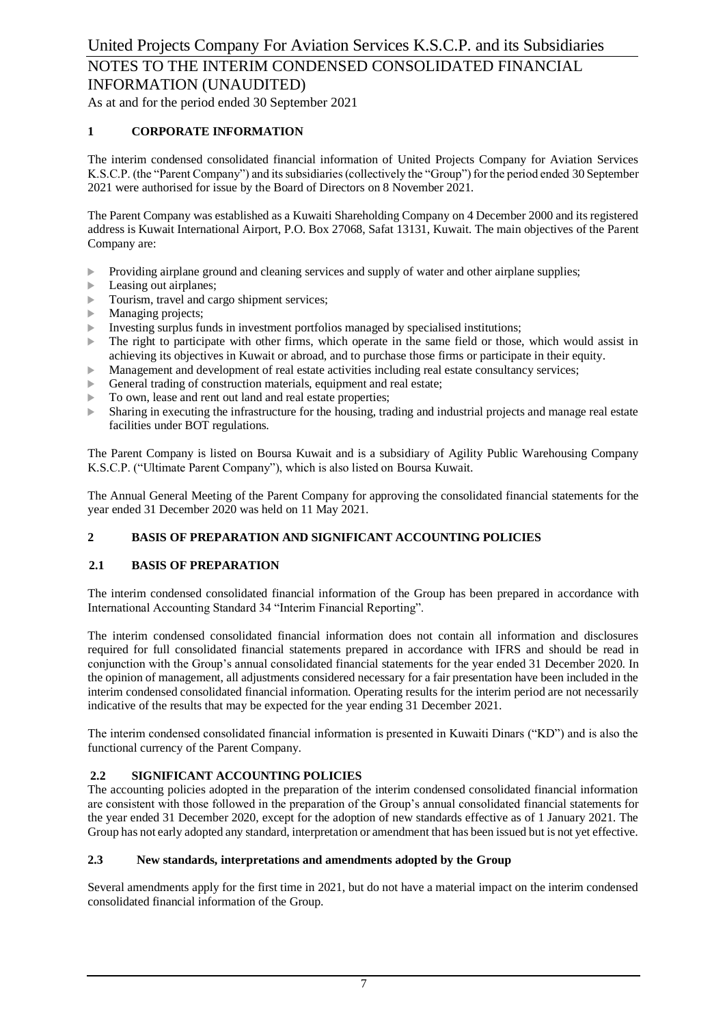As at and for the period ended 30 September 2021

#### **1 CORPORATE INFORMATION**

The interim condensed consolidated financial information of United Projects Company for Aviation Services K.S.C.P. (the "Parent Company") and its subsidiaries (collectively the "Group") for the period ended 30 September 2021 were authorised for issue by the Board of Directors on 8 November 2021.

The Parent Company was established as a Kuwaiti Shareholding Company on 4 December 2000 and its registered address is Kuwait International Airport, P.O. Box 27068, Safat 13131, Kuwait. The main objectives of the Parent Company are:

- **Providing airplane ground and cleaning services and supply of water and other airplane supplies;**
- $\blacktriangleright$  Leasing out airplanes;
- **Tourism, travel and cargo shipment services;**
- **Managing projects;**
- Investing surplus funds in investment portfolios managed by specialised institutions;
- $\triangleright$  The right to participate with other firms, which operate in the same field or those, which would assist in achieving its objectives in Kuwait or abroad, and to purchase those firms or participate in their equity.
- Management and development of real estate activities including real estate consultancy services;
- General trading of construction materials, equipment and real estate;
- $\triangleright$  To own, lease and rent out land and real estate properties;
- Sharing in executing the infrastructure for the housing, trading and industrial projects and manage real estate facilities under BOT regulations.

The Parent Company is listed on Boursa Kuwait and is a subsidiary of Agility Public Warehousing Company K.S.C.P. ("Ultimate Parent Company"), which is also listed on Boursa Kuwait.

The Annual General Meeting of the Parent Company for approving the consolidated financial statements for the year ended 31 December 2020 was held on 11 May 2021.

#### **2 BASIS OF PREPARATION AND SIGNIFICANT ACCOUNTING POLICIES**

#### **2.1 BASIS OF PREPARATION**

The interim condensed consolidated financial information of the Group has been prepared in accordance with International Accounting Standard 34 "Interim Financial Reporting".

The interim condensed consolidated financial information does not contain all information and disclosures required for full consolidated financial statements prepared in accordance with IFRS and should be read in conjunction with the Group's annual consolidated financial statements for the year ended 31 December 2020. In the opinion of management, all adjustments considered necessary for a fair presentation have been included in the interim condensed consolidated financial information. Operating results for the interim period are not necessarily indicative of the results that may be expected for the year ending 31 December 2021.

The interim condensed consolidated financial information is presented in Kuwaiti Dinars ("KD") and is also the functional currency of the Parent Company.

#### **2.2 SIGNIFICANT ACCOUNTING POLICIES**

The accounting policies adopted in the preparation of the interim condensed consolidated financial information are consistent with those followed in the preparation of the Group's annual consolidated financial statements for the year ended 31 December 2020, except for the adoption of new standards effective as of 1 January 2021. The Group has not early adopted any standard, interpretation or amendment that has been issued but is not yet effective.

#### **2.3 New standards, interpretations and amendments adopted by the Group**

Several amendments apply for the first time in 2021, but do not have a material impact on the interim condensed consolidated financial information of the Group.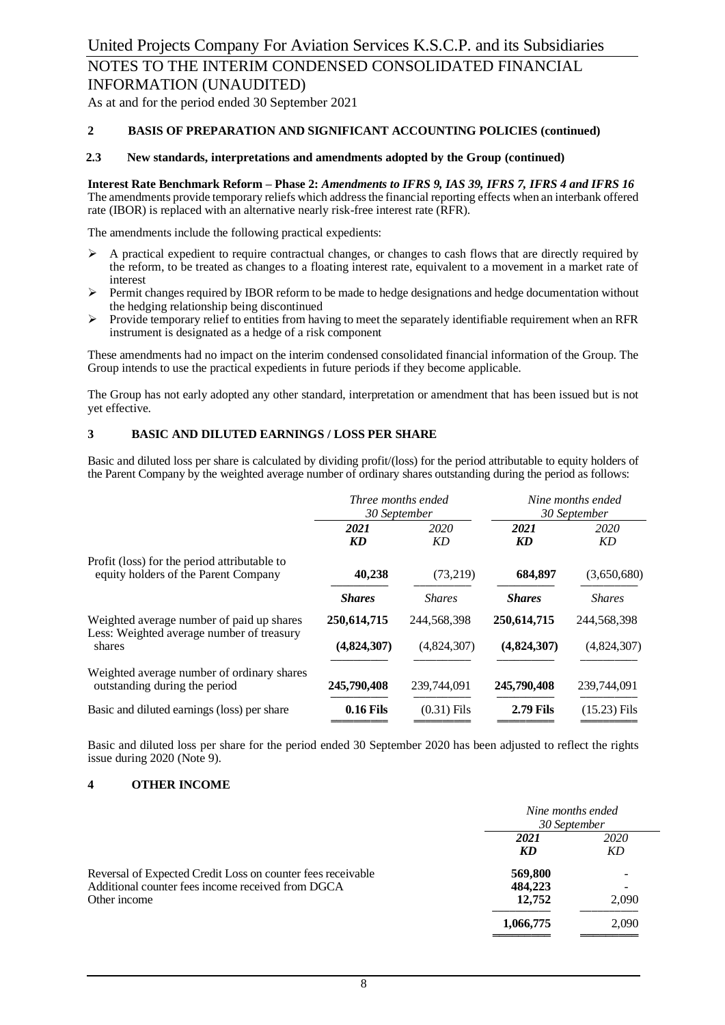As at and for the period ended 30 September 2021

#### **2 BASIS OF PREPARATION AND SIGNIFICANT ACCOUNTING POLICIES (continued)**

#### **2.3 New standards, interpretations and amendments adopted by the Group (continued)**

**Interest Rate Benchmark Reform – Phase 2:** *Amendments to IFRS 9, IAS 39, IFRS 7, IFRS 4 and IFRS 16* The amendments provide temporary reliefs which address the financial reporting effects when an interbank offered rate (IBOR) is replaced with an alternative nearly risk-free interest rate (RFR).

The amendments include the following practical expedients:

- $\triangleright$  A practical expedient to require contractual changes, or changes to cash flows that are directly required by the reform, to be treated as changes to a floating interest rate, equivalent to a movement in a market rate of interest
- $\triangleright$  Permit changes required by IBOR reform to be made to hedge designations and hedge documentation without the hedging relationship being discontinued
- ➢ Provide temporary relief to entities from having to meet the separately identifiable requirement when an RFR instrument is designated as a hedge of a risk component

These amendments had no impact on the interim condensed consolidated financial information of the Group. The Group intends to use the practical expedients in future periods if they become applicable.

The Group has not early adopted any other standard, interpretation or amendment that has been issued but is not yet effective.

#### **3 BASIC AND DILUTED EARNINGS / LOSS PER SHARE**

Basic and diluted loss per share is calculated by dividing profit/(loss) for the period attributable to equity holders of the Parent Company by the weighted average number of ordinary shares outstanding during the period as follows:

|                                                                                      | Three months ended<br>30 September |               |                  | Nine months ended<br>30 September |
|--------------------------------------------------------------------------------------|------------------------------------|---------------|------------------|-----------------------------------|
|                                                                                      | 2021<br><b>KD</b>                  | 2020<br>KD    | 2021<br>KD       | 2020<br>KD                        |
| Profit (loss) for the period attributable to<br>equity holders of the Parent Company | 40,238                             | (73,219)      | 684,897          | (3,650,680)                       |
|                                                                                      | <b>Shares</b>                      | <b>Shares</b> | <b>Shares</b>    | <b>Shares</b>                     |
| Weighted average number of paid up shares                                            | 250,614,715                        | 244,568,398   | 250,614,715      | 244,568,398                       |
| Less: Weighted average number of treasury<br>shares                                  | (4,824,307)                        | (4,824,307)   | (4,824,307)      | (4,824,307)                       |
| Weighted average number of ordinary shares<br>outstanding during the period          | 245,790,408                        | 239,744,091   | 245,790,408      | 239,744,091                       |
| Basic and diluted earnings (loss) per share                                          | <b>0.16 Fils</b>                   | $(0.31)$ Fils | <b>2.79 Fils</b> | $(15.23)$ Fils                    |

Basic and diluted loss per share for the period ended 30 September 2020 has been adjusted to reflect the rights issue during 2020 (Note 9).

#### **4 OTHER INCOME**

|                                                                                                                                  | Nine months ended<br>30 September |                                            |
|----------------------------------------------------------------------------------------------------------------------------------|-----------------------------------|--------------------------------------------|
|                                                                                                                                  | 2021<br>KD                        | 2020<br>KD                                 |
| Reversal of Expected Credit Loss on counter fees receivable<br>Additional counter fees income received from DGCA<br>Other income | 569,800<br>484,223<br>12,752      | -<br>$\qquad \qquad \blacksquare$<br>2.090 |
|                                                                                                                                  | 1,066,775                         | 2,090                                      |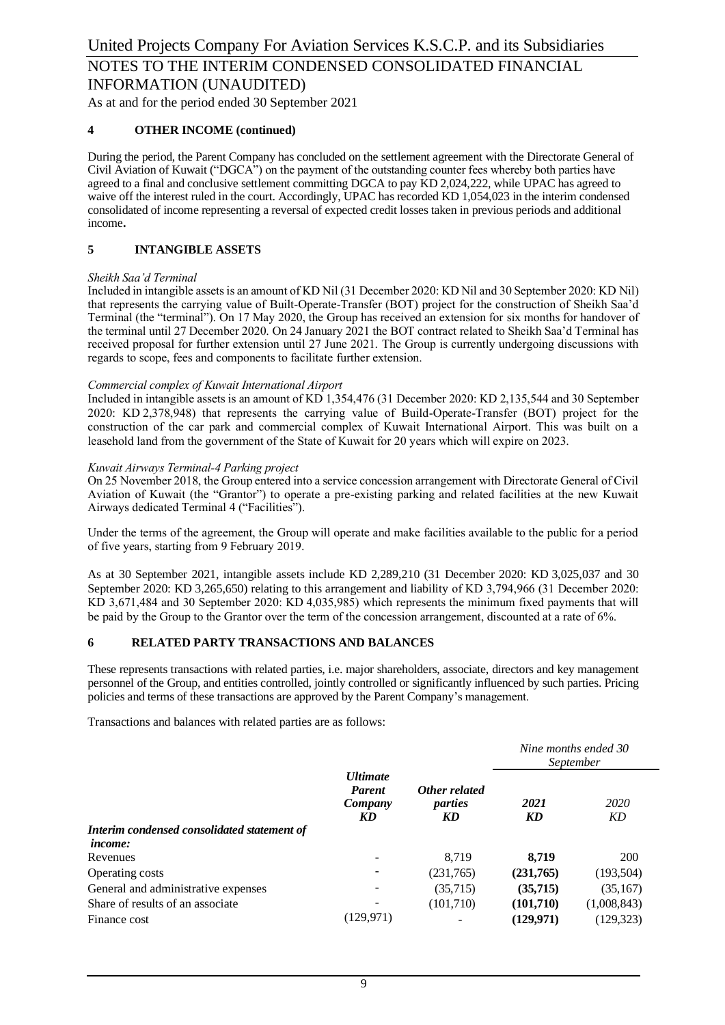#### **4 OTHER INCOME (continued)**

During the period, the Parent Company has concluded on the settlement agreement with the Directorate General of Civil Aviation of Kuwait ("DGCA") on the payment of the outstanding counter fees whereby both parties have agreed to a final and conclusive settlement committing DGCA to pay KD 2,024,222, while UPAC has agreed to waive off the interest ruled in the court. Accordingly, UPAC has recorded KD 1,054,023 in the interim condensed consolidated of income representing a reversal of expected credit losses taken in previous periods and additional income**.**

#### **5 INTANGIBLE ASSETS**

#### *Sheikh Saa'd Terminal*

Included in intangible assets is an amount of KD Nil (31 December 2020: KD Nil and 30 September 2020: KD Nil) that represents the carrying value of Built-Operate-Transfer (BOT) project for the construction of Sheikh Saa'd Terminal (the "terminal"). On 17 May 2020, the Group has received an extension for six months for handover of the terminal until 27 December 2020. On 24 January 2021 the BOT contract related to Sheikh Saa'd Terminal has received proposal for further extension until 27 June 2021. The Group is currently undergoing discussions with regards to scope, fees and components to facilitate further extension.

#### *Commercial complex of Kuwait International Airport*

Included in intangible assets is an amount of KD 1,354,476 (31 December 2020: KD 2,135,544 and 30 September 2020: KD 2,378,948) that represents the carrying value of Build-Operate-Transfer (BOT) project for the construction of the car park and commercial complex of Kuwait International Airport. This was built on a leasehold land from the government of the State of Kuwait for 20 years which will expire on 2023.

#### *Kuwait Airways Terminal-4 Parking project*

On 25 November 2018, the Group entered into a service concession arrangement with Directorate General of Civil Aviation of Kuwait (the "Grantor") to operate a pre-existing parking and related facilities at the new Kuwait Airways dedicated Terminal 4 ("Facilities").

Under the terms of the agreement, the Group will operate and make facilities available to the public for a period of five years, starting from 9 February 2019.

As at 30 September 2021, intangible assets include KD 2,289,210 (31 December 2020: KD 3,025,037 and 30 September 2020: KD 3,265,650) relating to this arrangement and liability of KD 3,794,966 (31 December 2020: KD 3,671,484 and 30 September 2020: KD 4,035,985) which represents the minimum fixed payments that will be paid by the Group to the Grantor over the term of the concession arrangement, discounted at a rate of 6%.

#### **6 RELATED PARTY TRANSACTIONS AND BALANCES**

These represents transactions with related parties, i.e. major shareholders, associate, directors and key management personnel of the Group, and entities controlled, jointly controlled or significantly influenced by such parties. Pricing policies and terms of these transactions are approved by the Parent Company's management.

Transactions and balances with related parties are as follows:

|                                             |                                                   |                                |            | Nine months ended 30<br>September |
|---------------------------------------------|---------------------------------------------------|--------------------------------|------------|-----------------------------------|
|                                             | <b>Ultimate</b><br><b>Parent</b><br>Company<br>KD | Other related<br>parties<br>KD | 2021<br>KD | 2020<br>KD                        |
| Interim condensed consolidated statement of |                                                   |                                |            |                                   |
| <i>income:</i>                              |                                                   |                                |            |                                   |
| Revenues                                    |                                                   | 8.719                          | 8,719      | 200                               |
| Operating costs                             |                                                   | (231,765)                      | (231,765)  | (193, 504)                        |
| General and administrative expenses         |                                                   | (35,715)                       | (35, 715)  | (35, 167)                         |
| Share of results of an associate            |                                                   | (101, 710)                     | (101,710)  | (1,008,843)                       |
| Finance cost                                | (129, 971)                                        |                                | (129, 971) | (129, 323)                        |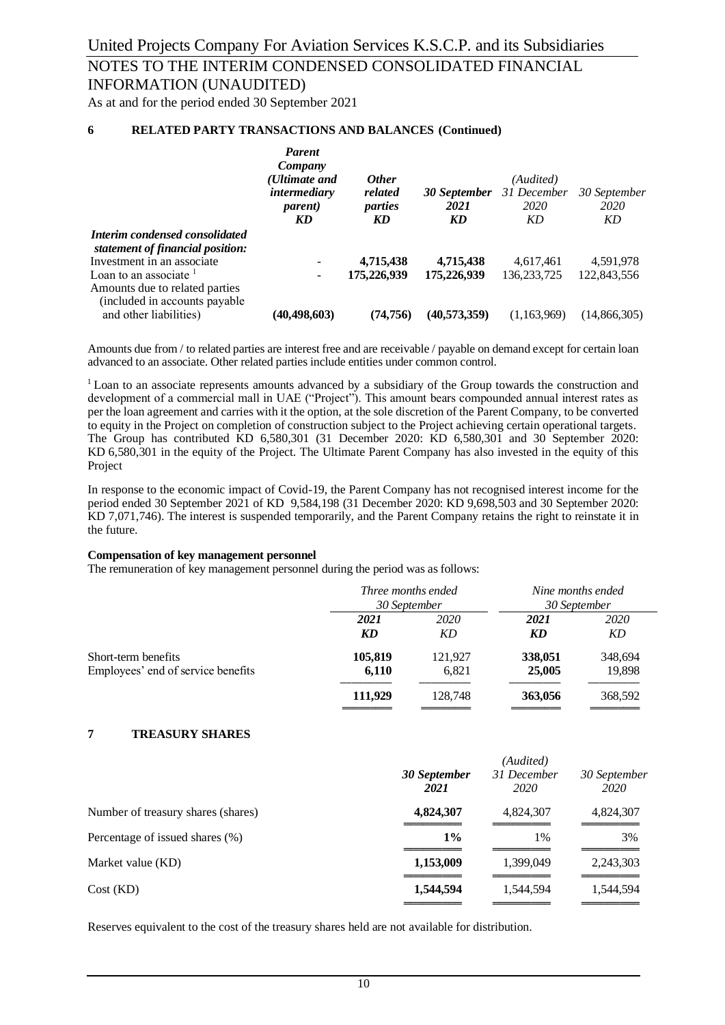#### **6 RELATED PARTY TRANSACTIONS AND BALANCES (Continued)**

|                                                                                                        | <b>Parent</b><br>Company<br>(Ultimate and<br><i>intermediary</i><br><i>parent</i> )<br>KD | <i><b>Other</b></i><br>related<br>parties<br>KD | 30 September<br>2021<br>KD | (Audited)<br>31 December<br>2020<br>KD | 30 September<br>2020<br>KD |
|--------------------------------------------------------------------------------------------------------|-------------------------------------------------------------------------------------------|-------------------------------------------------|----------------------------|----------------------------------------|----------------------------|
| Interim condensed consolidated<br>statement of financial position:                                     |                                                                                           |                                                 |                            |                                        |                            |
| Investment in an associate.                                                                            |                                                                                           | 4,715,438                                       | 4,715,438                  | 4,617,461                              | 4,591,978                  |
| Loan to an associate $\frac{1}{2}$<br>Amounts due to related parties<br>(included in accounts payable) |                                                                                           | 175,226,939                                     | 175,226,939                | 136, 233, 725                          | 122,843,556                |
| and other liabilities)                                                                                 | (40, 498, 603)                                                                            | (74.756)                                        | (40,573,359)               | (1.163.969)                            | (14,866,305)               |

Amounts due from / to related parties are interest free and are receivable / payable on demand except for certain loan advanced to an associate. Other related parties include entities under common control.

<sup>1</sup> Loan to an associate represents amounts advanced by a subsidiary of the Group towards the construction and development of a commercial mall in UAE ("Project"). This amount bears compounded annual interest rates as per the loan agreement and carries with it the option, at the sole discretion of the Parent Company, to be converted to equity in the Project on completion of construction subject to the Project achieving certain operational targets. The Group has contributed KD 6,580,301 (31 December 2020: KD 6,580,301 and 30 September 2020: KD 6,580,301 in the equity of the Project. The Ultimate Parent Company has also invested in the equity of this Project

In response to the economic impact of Covid-19, the Parent Company has not recognised interest income for the period ended 30 September 2021 of KD 9,584,198 (31 December 2020: KD 9,698,503 and 30 September 2020: KD 7,071,746). The interest is suspended temporarily, and the Parent Company retains the right to reinstate it in the future.

#### **Compensation of key management personnel**

The remuneration of key management personnel during the period was as follows:

|                                    | Three months ended<br>30 September |         | Nine months ended<br>30 September |             |
|------------------------------------|------------------------------------|---------|-----------------------------------|-------------|
|                                    | 2021                               | 2020    | 2021                              | <i>2020</i> |
|                                    | KD                                 | KD      | KD                                | KD          |
| Short-term benefits                | 105,819                            | 121,927 | 338,051                           | 348,694     |
| Employees' end of service benefits | 6,110                              | 6.821   | 25,005                            | 19,898      |
|                                    | 111,929                            | 128,748 | 363,056                           | 368,592     |

#### **7 TREASURY SHARES**

| 30 September<br>2021 | (Audited)<br>31 December<br>2020 | 30 September<br>2020 |
|----------------------|----------------------------------|----------------------|
| 4,824,307            | 4,824,307                        | 4,824,307            |
| $1\%$                | 1%                               | 3%                   |
| 1,153,009            | 1,399,049                        | 2,243,303            |
| 1,544,594            | 1,544,594                        | 1,544,594            |
|                      |                                  |                      |

Reserves equivalent to the cost of the treasury shares held are not available for distribution.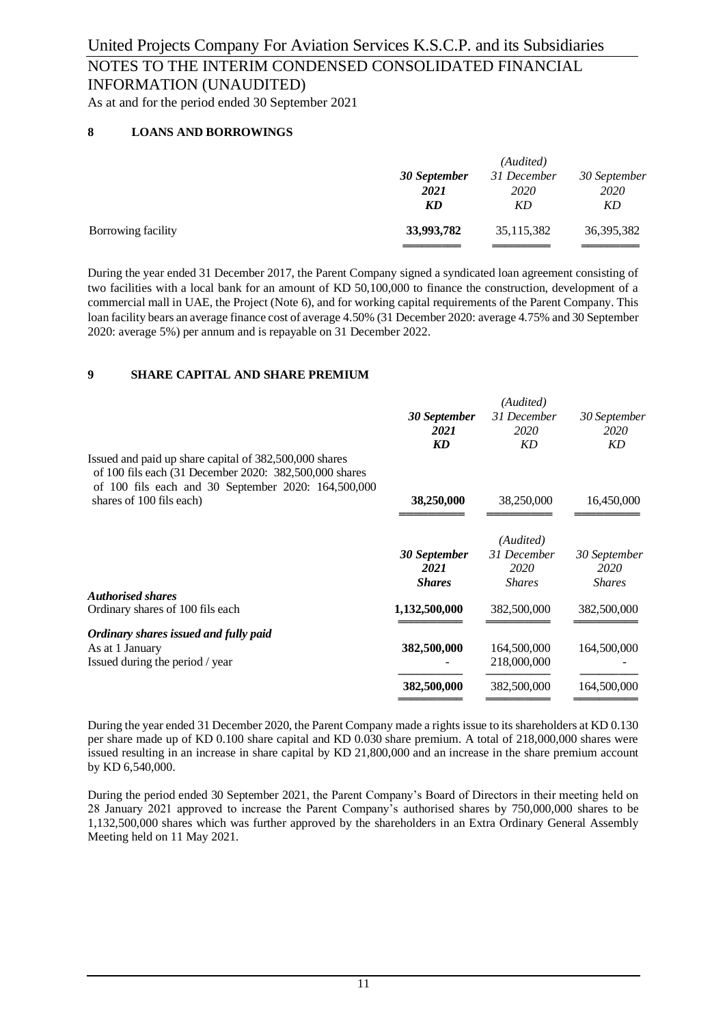As at and for the period ended 30 September 2021

#### **8 LOANS AND BORROWINGS**

|                    |              | (Audited)   |              |
|--------------------|--------------|-------------|--------------|
|                    | 30 September | 31 December | 30 September |
|                    | 2021         | <i>2020</i> | 2020         |
|                    | KD           | KD          | KD           |
| Borrowing facility | 33,993,782   | 35,115,382  | 36,395,382   |
|                    |              |             |              |

During the year ended 31 December 2017, the Parent Company signed a syndicated loan agreement consisting of two facilities with a local bank for an amount of KD 50,100,000 to finance the construction, development of a commercial mall in UAE, the Project (Note 6), and for working capital requirements of the Parent Company. This loan facility bears an average finance cost of average 4.50% (31 December 2020: average 4.75% and 30 September 2020: average 5%) per annum and is repayable on 31 December 2022.

#### **9 SHARE CAPITAL AND SHARE PREMIUM**

|                                                                                                                                                                         |               | (Audited)     |               |
|-------------------------------------------------------------------------------------------------------------------------------------------------------------------------|---------------|---------------|---------------|
|                                                                                                                                                                         | 30 September  | 31 December   | 30 September  |
|                                                                                                                                                                         | 2021          | 2020          | 2020          |
|                                                                                                                                                                         | KD            | KD            | KD            |
| Issued and paid up share capital of 382,500,000 shares<br>of 100 fils each (31 December 2020: 382,500,000 shares<br>of 100 fils each and 30 September 2020: 164,500,000 |               |               |               |
| shares of 100 fils each)                                                                                                                                                | 38,250,000    | 38,250,000    | 16,450,000    |
|                                                                                                                                                                         |               |               |               |
|                                                                                                                                                                         |               | (Audited)     |               |
|                                                                                                                                                                         | 30 September  | 31 December   | 30 September  |
|                                                                                                                                                                         | 2021          | 2020          | 2020          |
|                                                                                                                                                                         | <b>Shares</b> | <b>Shares</b> | <b>Shares</b> |
| <b>Authorised shares</b>                                                                                                                                                |               |               |               |
| Ordinary shares of 100 fils each                                                                                                                                        | 1,132,500,000 | 382,500,000   | 382,500,000   |
| Ordinary shares issued and fully paid                                                                                                                                   |               |               |               |
| As at 1 January                                                                                                                                                         | 382,500,000   | 164,500,000   | 164,500,000   |
| Issued during the period / year                                                                                                                                         |               | 218,000,000   |               |
|                                                                                                                                                                         | 382,500,000   | 382,500,000   | 164,500,000   |
|                                                                                                                                                                         |               |               |               |

During the year ended 31 December 2020, the Parent Company made a rights issue to its shareholders at KD 0.130 per share made up of KD 0.100 share capital and KD 0.030 share premium. A total of 218,000,000 shares were issued resulting in an increase in share capital by KD 21,800,000 and an increase in the share premium account by KD 6,540,000.

During the period ended 30 September 2021, the Parent Company's Board of Directors in their meeting held on 28 January 2021 approved to increase the Parent Company's authorised shares by 750,000,000 shares to be 1,132,500,000 shares which was further approved by the shareholders in an Extra Ordinary General Assembly Meeting held on 11 May 2021.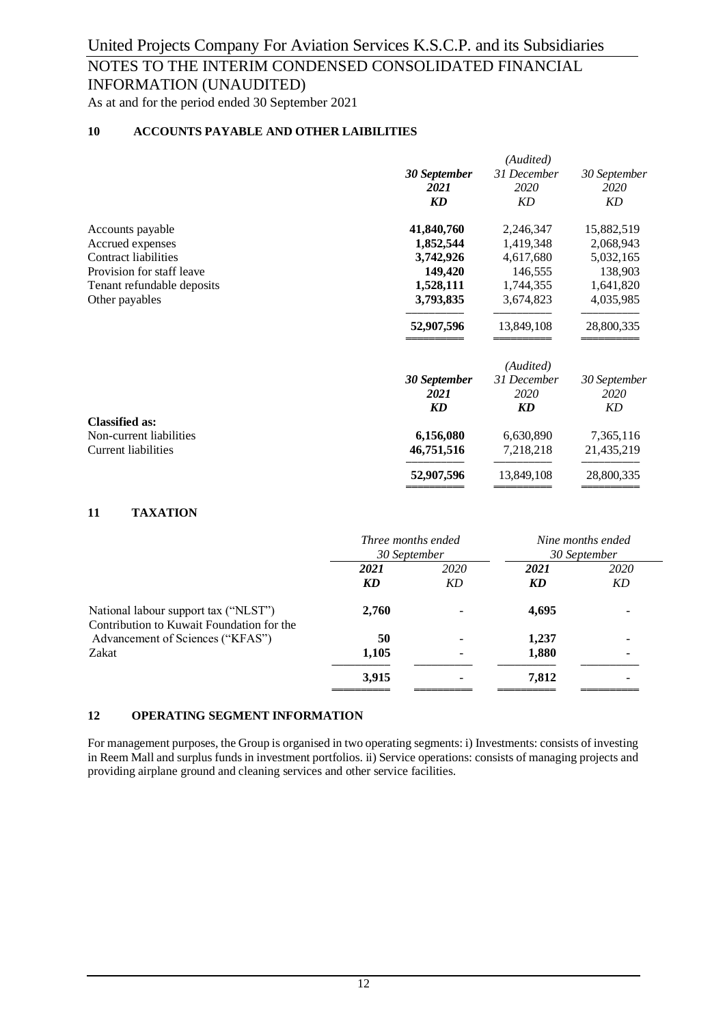As at and for the period ended 30 September 2021

#### **10 ACCOUNTS PAYABLE AND OTHER LAIBILITIES**

| 31 December<br>30 September<br>2020<br>2021<br><b>KD</b><br><b>KD</b><br>41,840,760<br>2,246,347<br>Accounts payable<br>Accrued expenses<br>1,852,544<br>1,419,348<br>Contract liabilities<br>3,742,926<br>4,617,680<br>Provision for staff leave<br>149,420<br>146,555<br>1,528,111<br>Tenant refundable deposits<br>1,744,355<br>3,793,835<br>Other payables<br>3,674,823<br>52,907,596<br>13,849,108 |              |
|---------------------------------------------------------------------------------------------------------------------------------------------------------------------------------------------------------------------------------------------------------------------------------------------------------------------------------------------------------------------------------------------------------|--------------|
|                                                                                                                                                                                                                                                                                                                                                                                                         | 30 September |
|                                                                                                                                                                                                                                                                                                                                                                                                         | 2020         |
|                                                                                                                                                                                                                                                                                                                                                                                                         | KD           |
|                                                                                                                                                                                                                                                                                                                                                                                                         | 15,882,519   |
|                                                                                                                                                                                                                                                                                                                                                                                                         | 2,068,943    |
|                                                                                                                                                                                                                                                                                                                                                                                                         | 5,032,165    |
|                                                                                                                                                                                                                                                                                                                                                                                                         | 138,903      |
|                                                                                                                                                                                                                                                                                                                                                                                                         | 1,641,820    |
|                                                                                                                                                                                                                                                                                                                                                                                                         | 4,035,985    |
|                                                                                                                                                                                                                                                                                                                                                                                                         | 28,800,335   |
| (Audited)                                                                                                                                                                                                                                                                                                                                                                                               |              |
| 31 December<br>30 September                                                                                                                                                                                                                                                                                                                                                                             | 30 September |
| 2020<br>2021                                                                                                                                                                                                                                                                                                                                                                                            | 2020         |
| <b>KD</b><br><b>KD</b>                                                                                                                                                                                                                                                                                                                                                                                  | KD           |
| <b>Classified as:</b>                                                                                                                                                                                                                                                                                                                                                                                   |              |
| Non-current liabilities<br>6,156,080<br>6,630,890                                                                                                                                                                                                                                                                                                                                                       | 7,365,116    |
| <b>Current liabilities</b><br>46,751,516<br>7,218,218                                                                                                                                                                                                                                                                                                                                                   | 21,435,219   |
| 52,907,596<br>13,849,108                                                                                                                                                                                                                                                                                                                                                                                | 28,800,335   |

#### **11 TAXATION**

|                                                                                   | Three months ended<br>30 September |            |            | Nine months ended<br>30 September |
|-----------------------------------------------------------------------------------|------------------------------------|------------|------------|-----------------------------------|
|                                                                                   | 2021<br>KD                         | 2020<br>KD | 2021<br>KD | 2020<br>KD                        |
| National labour support tax ("NLST")<br>Contribution to Kuwait Foundation for the | 2,760                              |            | 4,695      |                                   |
| Advancement of Sciences ("KFAS")                                                  | 50                                 |            | 1,237      |                                   |
| Zakat                                                                             | 1,105                              |            | 1,880      |                                   |
|                                                                                   | 3,915                              |            | 7,812      | -                                 |

#### **12 OPERATING SEGMENT INFORMATION**

For management purposes, the Group is organised in two operating segments: i) Investments: consists of investing in Reem Mall and surplus funds in investment portfolios. ii) Service operations: consists of managing projects and providing airplane ground and cleaning services and other service facilities.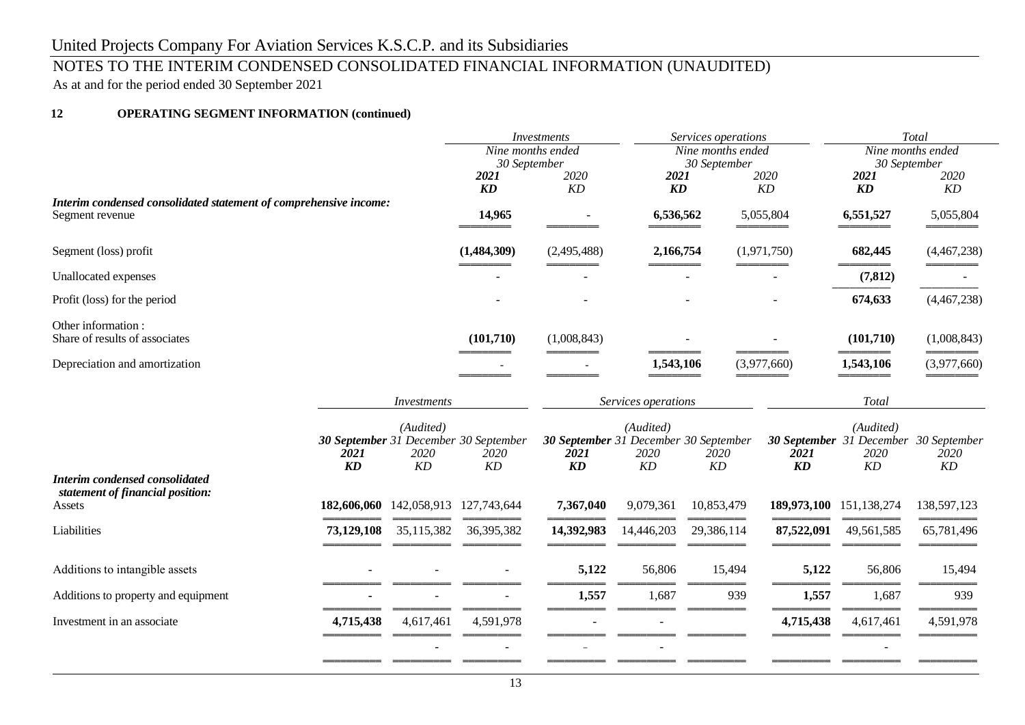## NOTES TO THE INTERIM CONDENSED CONSOLIDATED FINANCIAL INFORMATION (UNAUDITED)

As at and for the period ended 30 September 2021

#### **12 OPERATING SEGMENT INFORMATION (continued)**

|                                                                   |                         |             |                                        | <b>Investments</b><br>Services operations<br>Nine months ended |                                        |              | Total<br>Nine months ended |              |                                       |
|-------------------------------------------------------------------|-------------------------|-------------|----------------------------------------|----------------------------------------------------------------|----------------------------------------|--------------|----------------------------|--------------|---------------------------------------|
|                                                                   |                         |             | $\overline{\text{ Nine}}$ months ended |                                                                |                                        |              |                            |              |                                       |
|                                                                   |                         |             | 30 September                           |                                                                |                                        | 30 September |                            | 30 September |                                       |
|                                                                   |                         |             | 2021                                   | 2020                                                           | 2021<br>$\boldsymbol{K}\boldsymbol{D}$ |              | 2020                       | 2021         | 2020                                  |
| Interim condensed consolidated statement of comprehensive income: |                         |             | KD                                     | KD                                                             |                                        |              | KD                         | KD           | KD                                    |
| Segment revenue                                                   |                         |             | 14,965                                 |                                                                | 6,536,562                              |              | 5,055,804                  | 6,551,527    | 5,055,804                             |
| Segment (loss) profit                                             |                         |             | (1,484,309)                            | (2,495,488)                                                    | 2,166,754                              |              | (1,971,750)                | 682,445      | (4,467,238)                           |
| Unallocated expenses                                              |                         |             |                                        |                                                                |                                        |              |                            | (7, 812)     |                                       |
| Profit (loss) for the period                                      |                         |             |                                        |                                                                |                                        |              |                            | 674,633      | (4,467,238)                           |
| Other information:<br>Share of results of associates              |                         |             | (101, 710)                             | (1,008,843)                                                    |                                        |              |                            | (101,710)    | (1,008,843)                           |
| Depreciation and amortization                                     |                         |             |                                        |                                                                | 1,543,106                              |              | (3,977,660)                | 1,543,106    | (3,977,660)                           |
|                                                                   |                         | Investments |                                        |                                                                | Services operations                    |              |                            | <b>Total</b> |                                       |
|                                                                   |                         |             |                                        |                                                                |                                        |              |                            |              |                                       |
|                                                                   |                         | (Audited)   |                                        | (Audited)                                                      |                                        |              | (Audited)                  |              |                                       |
|                                                                   |                         |             | 30 September 31 December 30 September  | 30 September 31 December 30 September                          |                                        |              |                            |              | 30 September 31 December 30 September |
|                                                                   | 2021                    | 2020        | 2020                                   | 2021                                                           | 2020                                   | 2020         | 2021                       | 2020         | 2020                                  |
| <b>Interim condensed consolidated</b>                             | <b>KD</b>               | KD          | KD                                     | <b>KD</b>                                                      | KD                                     | KD           | <b>KD</b>                  | KD           | KD                                    |
| statement of financial position:                                  |                         |             |                                        |                                                                |                                        |              |                            |              |                                       |
| Assets                                                            | 182,606,060 142,058,913 |             | 127,743,644                            | 7,367,040                                                      | 9,079,361                              | 10,853,479   | 189,973,100 151,138,274    |              | 138,597,123                           |
| Liabilities                                                       | 73,129,108              | 35,115,382  | 36,395,382                             | 14,392,983                                                     | 14,446,203                             | 29,386,114   | 87,522,091                 | 49,561,585   | 65,781,496                            |
| Additions to intangible assets                                    |                         |             |                                        | 5,122                                                          | 56,806                                 | 15,494       | 5,122                      | 56,806       | 15,494                                |
|                                                                   |                         |             |                                        |                                                                |                                        |              |                            |              |                                       |
| Additions to property and equipment                               |                         |             |                                        | 1,557                                                          | 1,687                                  | 939          | 1,557                      | 1,687        | 939                                   |
| Investment in an associate                                        | 4,715,438               | 4,617,461   | 4,591,978                              |                                                                |                                        |              | 4,715,438                  | 4,617,461    | 4,591,978                             |
|                                                                   |                         |             |                                        |                                                                |                                        |              |                            |              |                                       |
|                                                                   |                         |             |                                        |                                                                |                                        |              |                            |              |                                       |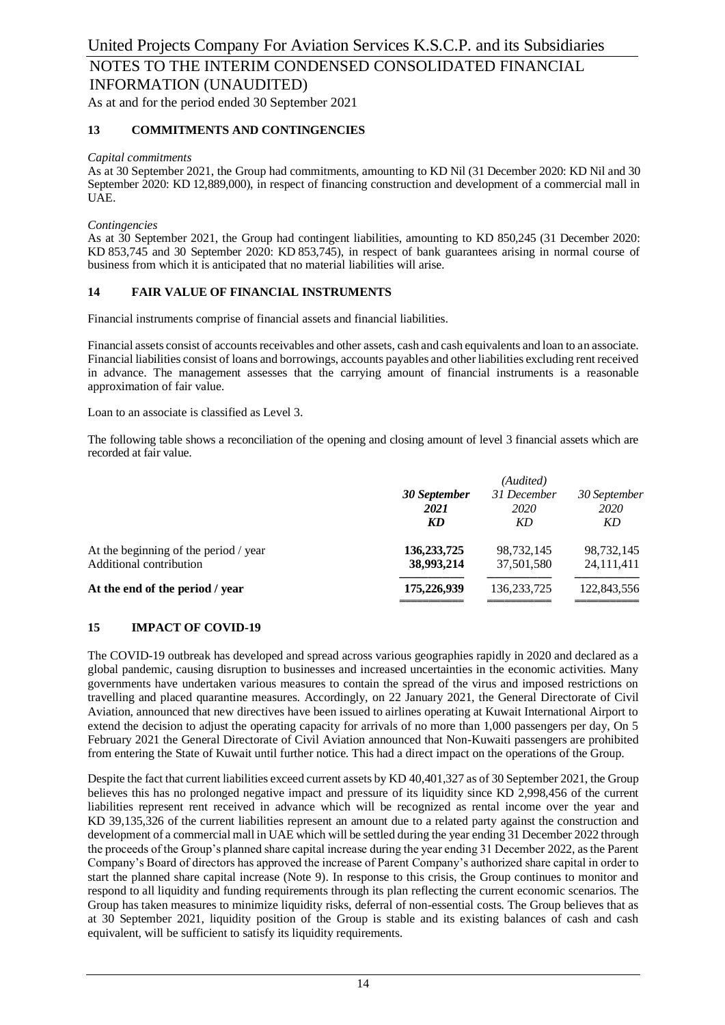#### **13 COMMITMENTS AND CONTINGENCIES**

#### *Capital commitments*

As at 30 September 2021, the Group had commitments, amounting to KD Nil (31 December 2020: KD Nil and 30 September 2020: KD 12,889,000), in respect of financing construction and development of a commercial mall in UAE.

#### *Contingencies*

As at 30 September 2021, the Group had contingent liabilities, amounting to KD 850,245 (31 December 2020: KD 853,745 and 30 September 2020: KD 853,745), in respect of bank guarantees arising in normal course of business from which it is anticipated that no material liabilities will arise.

#### **14 FAIR VALUE OF FINANCIAL INSTRUMENTS**

Financial instruments comprise of financial assets and financial liabilities.

Financial assets consist of accounts receivables and other assets, cash and cash equivalents and loan to an associate. Financial liabilities consist of loans and borrowings, accounts payables and other liabilities excluding rent received in advance. The management assesses that the carrying amount of financial instruments is a reasonable approximation of fair value.

Loan to an associate is classified as Level 3.

The following table shows a reconciliation of the opening and closing amount of level 3 financial assets which are recorded at fair value.

|                                                                  | 30 September<br>2021<br>KD  | (Audited)<br>31 December<br>2020<br>KD | 30 September<br>2020<br>KD |  |
|------------------------------------------------------------------|-----------------------------|----------------------------------------|----------------------------|--|
| At the beginning of the period / year<br>Additional contribution | 136, 233, 725<br>38,993,214 | 98,732,145<br>37,501,580               | 98,732,145<br>24,111,411   |  |
| At the end of the period / year                                  | 175,226,939                 | 136, 233, 725                          | 122,843,556                |  |

#### **15 IMPACT OF COVID-19**

The COVID-19 outbreak has developed and spread across various geographies rapidly in 2020 and declared as a global pandemic, causing disruption to businesses and increased uncertainties in the economic activities. Many governments have undertaken various measures to contain the spread of the virus and imposed restrictions on travelling and placed quarantine measures. Accordingly, on 22 January 2021, the General Directorate of Civil Aviation, announced that new directives have been issued to airlines operating at Kuwait International Airport to extend the decision to adjust the operating capacity for arrivals of no more than 1,000 passengers per day, On 5 February 2021 the General Directorate of Civil Aviation announced that Non-Kuwaiti passengers are prohibited from entering the State of Kuwait until further notice. This had a direct impact on the operations of the Group.

Despite the fact that current liabilities exceed current assets by KD 40,401,327 as of 30 September 2021, the Group believes this has no prolonged negative impact and pressure of its liquidity since KD 2,998,456 of the current liabilities represent rent received in advance which will be recognized as rental income over the year and KD 39,135,326 of the current liabilities represent an amount due to a related party against the construction and development of a commercial mall in UAE which will be settled during the year ending 31 December 2022 through the proceeds of the Group's planned share capital increase during the year ending 31 December 2022, as the Parent Company's Board of directors has approved the increase of Parent Company's authorized share capital in order to start the planned share capital increase (Note 9). In response to this crisis, the Group continues to monitor and respond to all liquidity and funding requirements through its plan reflecting the current economic scenarios. The Group has taken measures to minimize liquidity risks, deferral of non-essential costs. The Group believes that as at 30 September 2021, liquidity position of the Group is stable and its existing balances of cash and cash equivalent, will be sufficient to satisfy its liquidity requirements.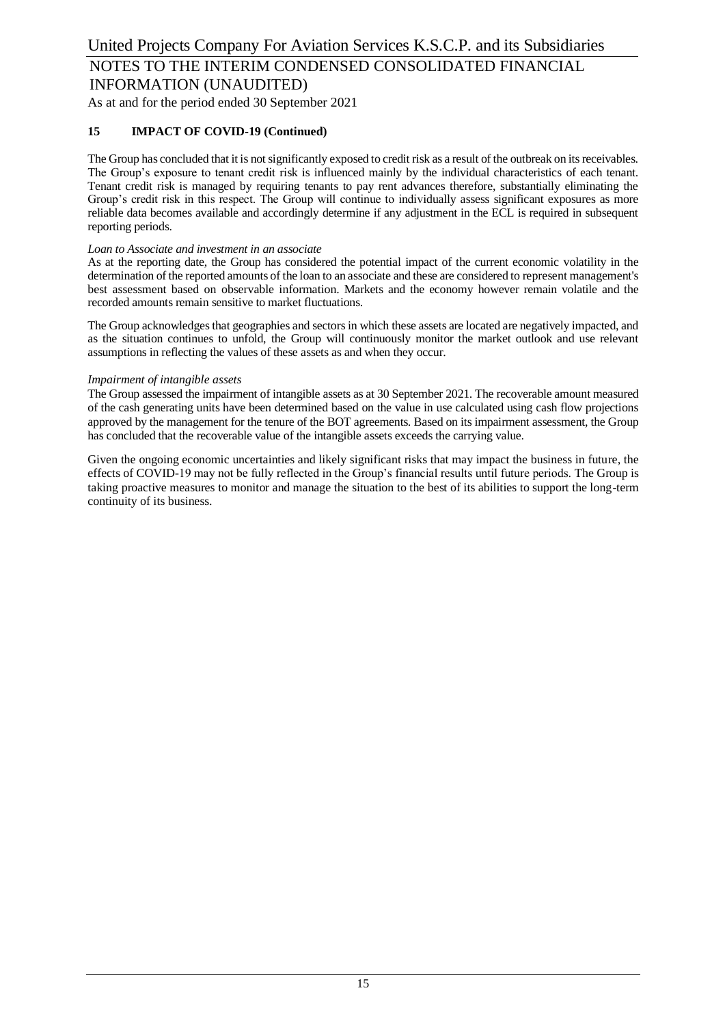#### **15 IMPACT OF COVID-19 (Continued)**

The Group has concluded that it is not significantly exposed to credit risk as a result of the outbreak on its receivables. The Group's exposure to tenant credit risk is influenced mainly by the individual characteristics of each tenant. Tenant credit risk is managed by requiring tenants to pay rent advances therefore, substantially eliminating the Group's credit risk in this respect. The Group will continue to individually assess significant exposures as more reliable data becomes available and accordingly determine if any adjustment in the ECL is required in subsequent reporting periods.

#### *Loan to Associate and investment in an associate*

As at the reporting date, the Group has considered the potential impact of the current economic volatility in the determination of the reported amounts of the loan to an associate and these are considered to represent management's best assessment based on observable information. Markets and the economy however remain volatile and the recorded amounts remain sensitive to market fluctuations.

The Group acknowledges that geographies and sectors in which these assets are located are negatively impacted, and as the situation continues to unfold, the Group will continuously monitor the market outlook and use relevant assumptions in reflecting the values of these assets as and when they occur.

#### *Impairment of intangible assets*

The Group assessed the impairment of intangible assets as at 30 September 2021. The recoverable amount measured of the cash generating units have been determined based on the value in use calculated using cash flow projections approved by the management for the tenure of the BOT agreements. Based on its impairment assessment, the Group has concluded that the recoverable value of the intangible assets exceeds the carrying value.

Given the ongoing economic uncertainties and likely significant risks that may impact the business in future, the effects of COVID-19 may not be fully reflected in the Group's financial results until future periods. The Group is taking proactive measures to monitor and manage the situation to the best of its abilities to support the long-term continuity of its business.